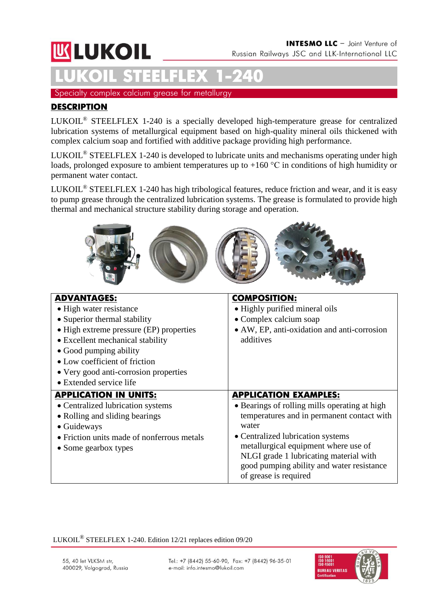# **WLUKOIL**

# **LUKOIL STEELFLEX 1-240**

Specialty complex calcium grease for metallurgy

## **DESCRIPTION**

LUKOIL® STEELFLEX 1-240 is a specially developed high-temperature grease for centralized lubrication systems of metallurgical equipment based on high-quality mineral oils thickened with complex calcium soap and fortified with additive package providing high performance.

LUKOIL® STEELFLEX 1-240 is developed to lubricate units and mechanisms operating under high loads, prolonged exposure to ambient temperatures up to +160 °С in conditions of high humidity or permanent water contact.

LUKOIL® STEELFLEX 1-240 has high tribological features, reduce friction and wear, and it is easy to pump grease through the centralized lubrication systems. The grease is formulated to provide high thermal and mechanical structure stability during storage and operation.



| <b>ADVANTAGES:</b>                         | <b>COMPOSITION:</b>                                                |  |  |
|--------------------------------------------|--------------------------------------------------------------------|--|--|
| • High water resistance                    | • Highly purified mineral oils                                     |  |  |
| • Superior thermal stability               | • Complex calcium soap                                             |  |  |
| • High extreme pressure (EP) properties    | • AW, EP, anti-oxidation and anti-corrosion                        |  |  |
| • Excellent mechanical stability           | additives                                                          |  |  |
| • Good pumping ability                     |                                                                    |  |  |
| • Low coefficient of friction              |                                                                    |  |  |
| • Very good anti-corrosion properties      |                                                                    |  |  |
| • Extended service life                    |                                                                    |  |  |
|                                            |                                                                    |  |  |
| <b>APPLICATION IN UNITS:</b>               | <b>APPLICATION EXAMPLES:</b>                                       |  |  |
| • Centralized lubrication systems          | • Bearings of rolling mills operating at high                      |  |  |
| • Rolling and sliding bearings             | temperatures and in permanent contact with                         |  |  |
| • Guideways                                | water                                                              |  |  |
| • Friction units made of nonferrous metals | • Centralized lubrication systems                                  |  |  |
| • Some gearbox types                       | metallurgical equipment where use of                               |  |  |
|                                            | NLGI grade 1 lubricating material with                             |  |  |
|                                            | good pumping ability and water resistance<br>of grease is required |  |  |

#### LUKOIL® STEELFLEX 1-240. Edition 12/21 replaces edition 09/20